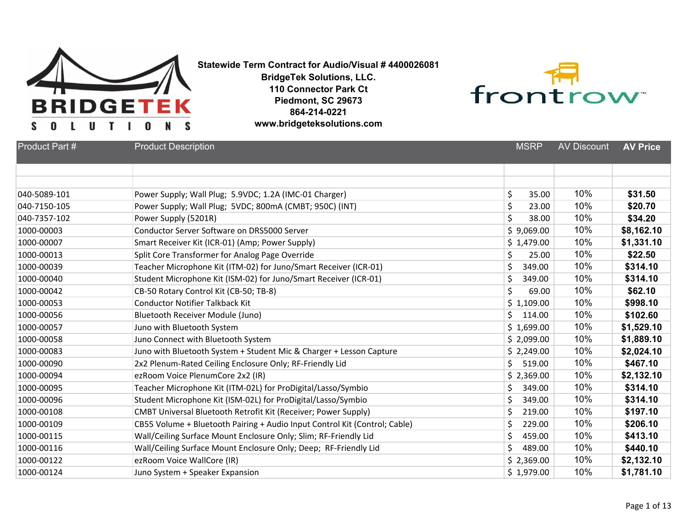

**Statewide Term Contract for Audio/Visual # 4400026081**

**BridgeTek Solutions, LLC. 110 Connector Park Ct Piedmont, SC 29673 864-214-0221 www.bridgeteksolutions.com**



| Product Part # | <b>Product Description</b>                                                 | <b>MSRP</b>  | <b>AV Discount</b> | <b>AV Price</b> |
|----------------|----------------------------------------------------------------------------|--------------|--------------------|-----------------|
|                |                                                                            |              |                    |                 |
|                |                                                                            |              |                    |                 |
| 040-5089-101   | Power Supply; Wall Plug; 5.9VDC; 1.2A (IMC-01 Charger)                     | \$<br>35.00  | 10%                | \$31.50         |
| 040-7150-105   | Power Supply; Wall Plug; 5VDC; 800mA (CMBT; 950C) (INT)                    | \$<br>23.00  | 10%                | \$20.70         |
| 040-7357-102   | Power Supply (5201R)                                                       | \$<br>38.00  | 10%                | \$34.20         |
| 1000-00003     | Conductor Server Software on DRS5000 Server                                | \$9,069.00   | 10%                | \$8,162.10      |
| 1000-00007     | Smart Receiver Kit (ICR-01) (Amp; Power Supply)                            | \$1,479.00   | 10%                | \$1,331.10      |
| 1000-00013     | Split Core Transformer for Analog Page Override                            | \$<br>25.00  | 10%                | \$22.50         |
| 1000-00039     | Teacher Microphone Kit (ITM-02) for Juno/Smart Receiver (ICR-01)           | \$<br>349.00 | 10%                | \$314.10        |
| 1000-00040     | Student Microphone Kit (ISM-02) for Juno/Smart Receiver (ICR-01)           | \$<br>349.00 | 10%                | \$314.10        |
| 1000-00042     | CB-50 Rotary Control Kit (CB-50; TB-8)                                     | \$<br>69.00  | 10%                | \$62.10         |
| 1000-00053     | <b>Conductor Notifier Talkback Kit</b>                                     | \$1,109.00   | 10%                | \$998.10        |
| 1000-00056     | <b>Bluetooth Receiver Module (Juno)</b>                                    | Ś.<br>114.00 | 10%                | \$102.60        |
| 1000-00057     | Juno with Bluetooth System                                                 | \$1,699.00   | 10%                | \$1,529.10      |
| 1000-00058     | Juno Connect with Bluetooth System                                         | \$2,099.00   | 10%                | \$1,889.10      |
| 1000-00083     | Juno with Bluetooth System + Student Mic & Charger + Lesson Capture        | \$2,249.00   | 10%                | \$2,024.10      |
| 1000-00090     | 2x2 Plenum-Rated Ceiling Enclosure Only; RF-Friendly Lid                   | \$<br>519.00 | 10%                | \$467.10        |
| 1000-00094     | ezRoom Voice PlenumCore 2x2 (IR)                                           | \$2,369.00   | 10%                | \$2,132.10      |
| 1000-00095     | Teacher Microphone Kit (ITM-02L) for ProDigital/Lasso/Symbio               | \$<br>349.00 | 10%                | \$314.10        |
| 1000-00096     | Student Microphone Kit (ISM-02L) for ProDigital/Lasso/Symbio               | \$<br>349.00 | 10%                | \$314.10        |
| 1000-00108     | CMBT Universal Bluetooth Retrofit Kit (Receiver; Power Supply)             | \$<br>219.00 | 10%                | \$197.10        |
| 1000-00109     | CB55 Volume + Bluetooth Pairing + Audio Input Control Kit (Control; Cable) | \$<br>229.00 | 10%                | \$206.10        |
| 1000-00115     | Wall/Ceiling Surface Mount Enclosure Only; Slim; RF-Friendly Lid           | \$<br>459.00 | 10%                | \$413.10        |
| 1000-00116     | Wall/Ceiling Surface Mount Enclosure Only; Deep; RF-Friendly Lid           | \$<br>489.00 | 10%                | \$440.10        |
| 1000-00122     | ezRoom Voice WallCore (IR)                                                 | \$2,369.00   | 10%                | \$2,132.10      |
| 1000-00124     | Juno System + Speaker Expansion                                            | \$1,979.00   | 10%                | \$1,781.10      |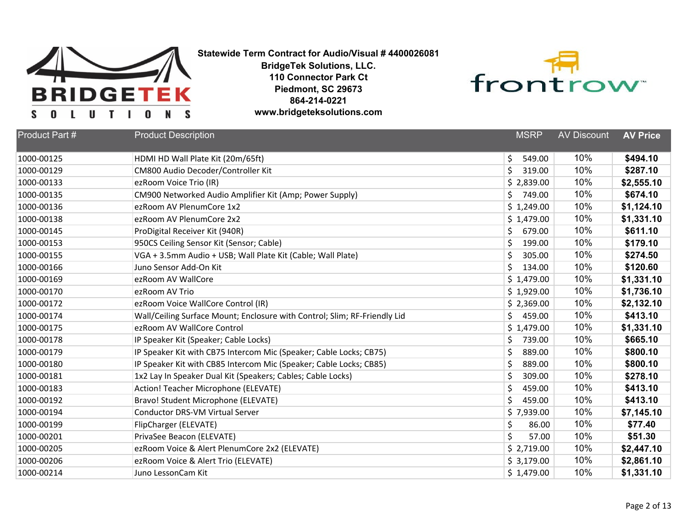



| Product Part # | <b>Product Description</b>                                                | <b>MSRP</b>  | <b>AV Discount</b> | <b>AV Price</b> |
|----------------|---------------------------------------------------------------------------|--------------|--------------------|-----------------|
| 1000-00125     | HDMI HD Wall Plate Kit (20m/65ft)                                         | \$<br>549.00 | 10%                | \$494.10        |
| 1000-00129     | CM800 Audio Decoder/Controller Kit                                        | Ś<br>319.00  | 10%                | \$287.10        |
| 1000-00133     | ezRoom Voice Trio (IR)                                                    | \$2,839.00   | 10%                | \$2,555.10      |
| 1000-00135     | CM900 Networked Audio Amplifier Kit (Amp; Power Supply)                   | \$<br>749.00 | 10%                | \$674.10        |
| 1000-00136     | ezRoom AV PlenumCore 1x2                                                  | \$1,249.00   | 10%                | \$1,124.10      |
| 1000-00138     | ezRoom AV PlenumCore 2x2                                                  | \$1,479.00   | 10%                | \$1,331.10      |
| 1000-00145     | ProDigital Receiver Kit (940R)                                            | \$<br>679.00 | 10%                | \$611.10        |
| 1000-00153     |                                                                           | \$<br>199.00 | 10%                | \$179.10        |
|                | 950CS Ceiling Sensor Kit (Sensor; Cable)                                  |              | 10%                |                 |
| 1000-00155     | VGA + 3.5mm Audio + USB; Wall Plate Kit (Cable; Wall Plate)               | \$<br>305.00 |                    | \$274.50        |
| 1000-00166     | Juno Sensor Add-On Kit                                                    | Ś<br>134.00  | 10%                | \$120.60        |
| 1000-00169     | ezRoom AV WallCore                                                        | \$1,479.00   | 10%                | \$1,331.10      |
| 1000-00170     | ezRoom AV Trio                                                            | \$1,929.00   | 10%                | \$1,736.10      |
| 1000-00172     | ezRoom Voice WallCore Control (IR)                                        | \$2,369.00   | 10%                | \$2,132.10      |
| 1000-00174     | Wall/Ceiling Surface Mount; Enclosure with Control; Slim; RF-Friendly Lid | \$<br>459.00 | 10%                | \$413.10        |
| 1000-00175     | ezRoom AV WallCore Control                                                | \$1,479.00   | 10%                | \$1,331.10      |
| 1000-00178     | IP Speaker Kit (Speaker; Cable Locks)                                     | \$<br>739.00 | 10%                | \$665.10        |
| 1000-00179     | IP Speaker Kit with CB75 Intercom Mic (Speaker; Cable Locks; CB75)        | \$<br>889.00 | 10%                | \$800.10        |
| 1000-00180     | IP Speaker Kit with CB85 Intercom Mic (Speaker; Cable Locks; CB85)        | \$<br>889.00 | 10%                | \$800.10        |
| 1000-00181     | 1x2 Lay In Speaker Dual Kit (Speakers; Cables; Cable Locks)               | \$<br>309.00 | 10%                | \$278.10        |
| 1000-00183     | Action! Teacher Microphone (ELEVATE)                                      | \$<br>459.00 | 10%                | \$413.10        |
| 1000-00192     | Bravo! Student Microphone (ELEVATE)                                       | Ś<br>459.00  | 10%                | \$413.10        |
| 1000-00194     | <b>Conductor DRS-VM Virtual Server</b>                                    | \$7,939.00   | 10%                | \$7,145.10      |
| 1000-00199     | FlipCharger (ELEVATE)                                                     | \$<br>86.00  | 10%                | \$77.40         |
| 1000-00201     | PrivaSee Beacon (ELEVATE)                                                 | Ś<br>57.00   | 10%                | \$51.30         |
| 1000-00205     | ezRoom Voice & Alert PlenumCore 2x2 (ELEVATE)                             | \$2,719.00   | 10%                | \$2,447.10      |
| 1000-00206     | ezRoom Voice & Alert Trio (ELEVATE)                                       | \$3,179.00   | 10%                | \$2,861.10      |
| 1000-00214     | Juno LessonCam Kit                                                        | \$1,479.00   | 10%                | \$1,331.10      |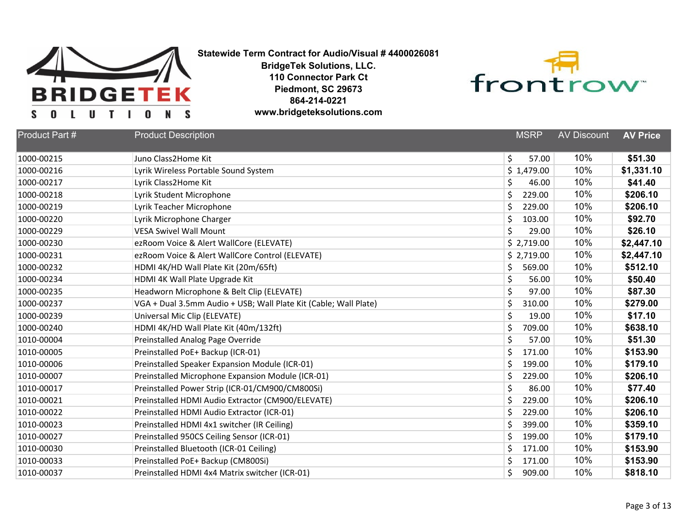



| Product Part # | <b>Product Description</b>                                       | <b>MSRP</b>  | <b>AV Discount</b> | <b>AV Price</b> |
|----------------|------------------------------------------------------------------|--------------|--------------------|-----------------|
| 1000-00215     | Juno Class2Home Kit                                              | \$<br>57.00  | 10%                | \$51.30         |
| 1000-00216     | Lyrik Wireless Portable Sound System                             | \$1,479.00   | 10%                | \$1,331.10      |
| 1000-00217     | Lyrik Class2Home Kit                                             | \$<br>46.00  | 10%                | \$41.40         |
| 1000-00218     | Lyrik Student Microphone                                         | \$<br>229.00 | 10%                | \$206.10        |
| 1000-00219     | Lyrik Teacher Microphone                                         | Ś<br>229.00  | 10%                | \$206.10        |
| 1000-00220     | Lyrik Microphone Charger                                         | \$<br>103.00 | 10%                | \$92.70         |
| 1000-00229     | <b>VESA Swivel Wall Mount</b>                                    | \$<br>29.00  | 10%                | \$26.10         |
| 1000-00230     | ezRoom Voice & Alert WallCore (ELEVATE)                          | \$2,719.00   | 10%                | \$2,447.10      |
| 1000-00231     | ezRoom Voice & Alert WallCore Control (ELEVATE)                  | \$2,719.00   | 10%                | \$2,447.10      |
| 1000-00232     | HDMI 4K/HD Wall Plate Kit (20m/65ft)                             | \$<br>569.00 | 10%                | \$512.10        |
| 1000-00234     | HDMI 4K Wall Plate Upgrade Kit                                   | \$<br>56.00  | 10%                | \$50.40         |
| 1000-00235     | Headworn Microphone & Belt Clip (ELEVATE)                        | \$<br>97.00  | 10%                | \$87.30         |
| 1000-00237     | VGA + Dual 3.5mm Audio + USB; Wall Plate Kit (Cable; Wall Plate) | \$<br>310.00 | 10%                | \$279.00        |
| 1000-00239     | Universal Mic Clip (ELEVATE)                                     | \$<br>19.00  | 10%                | \$17.10         |
| 1000-00240     | HDMI 4K/HD Wall Plate Kit (40m/132ft)                            | \$<br>709.00 | 10%                | \$638.10        |
| 1010-00004     | Preinstalled Analog Page Override                                | \$<br>57.00  | 10%                | \$51.30         |
| 1010-00005     | Preinstalled PoE+ Backup (ICR-01)                                | \$<br>171.00 | 10%                | \$153.90        |
| 1010-00006     | Preinstalled Speaker Expansion Module (ICR-01)                   | \$<br>199.00 | 10%                | \$179.10        |
| 1010-00007     | Preinstalled Microphone Expansion Module (ICR-01)                | \$<br>229.00 | 10%                | \$206.10        |
| 1010-00017     | Preinstalled Power Strip (ICR-01/CM900/CM800Si)                  | \$<br>86.00  | 10%                | \$77.40         |
| 1010-00021     | Preinstalled HDMI Audio Extractor (CM900/ELEVATE)                | \$<br>229.00 | 10%                | \$206.10        |
| 1010-00022     | Preinstalled HDMI Audio Extractor (ICR-01)                       | \$<br>229.00 | 10%                | \$206.10        |
| 1010-00023     | Preinstalled HDMI 4x1 switcher (IR Ceiling)                      | \$<br>399.00 | 10%                | \$359.10        |
| 1010-00027     | Preinstalled 950CS Ceiling Sensor (ICR-01)                       | \$<br>199.00 | 10%                | \$179.10        |
| 1010-00030     | Preinstalled Bluetooth (ICR-01 Ceiling)                          | \$<br>171.00 | 10%                | \$153.90        |
| 1010-00033     | Preinstalled PoE+ Backup (CM800Si)                               | Ś.<br>171.00 | 10%                | \$153.90        |
| 1010-00037     | Preinstalled HDMI 4x4 Matrix switcher (ICR-01)                   | Ś<br>909.00  | 10%                | \$818.10        |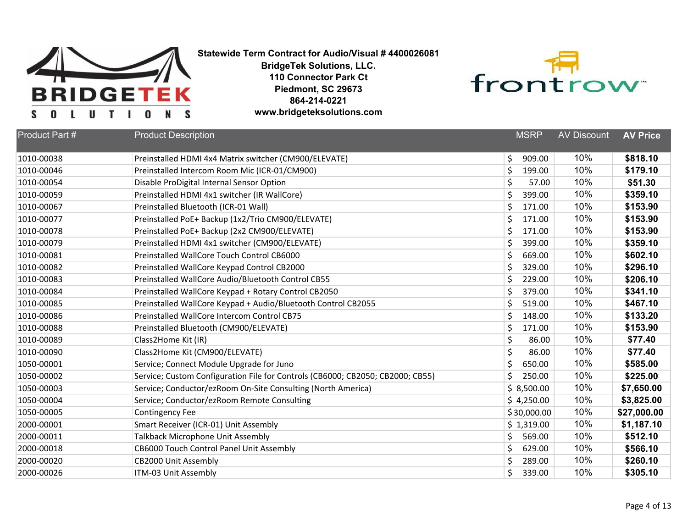



| Product Part # | <b>Product Description</b>                                                     | <b>MSRP</b>  | <b>AV Discount</b> | <b>AV Price</b> |
|----------------|--------------------------------------------------------------------------------|--------------|--------------------|-----------------|
| 1010-00038     | Preinstalled HDMI 4x4 Matrix switcher (CM900/ELEVATE)                          | \$<br>909.00 | 10%                | \$818.10        |
| 1010-00046     | Preinstalled Intercom Room Mic (ICR-01/CM900)                                  | \$<br>199.00 | 10%                | \$179.10        |
| 1010-00054     | Disable ProDigital Internal Sensor Option                                      | \$<br>57.00  | 10%                | \$51.30         |
| 1010-00059     | Preinstalled HDMI 4x1 switcher (IR WallCore)                                   | \$<br>399.00 | 10%                | \$359.10        |
| 1010-00067     | Preinstalled Bluetooth (ICR-01 Wall)                                           | \$<br>171.00 | 10%                | \$153.90        |
| 1010-00077     | Preinstalled PoE+ Backup (1x2/Trio CM900/ELEVATE)                              | \$<br>171.00 | 10%                | \$153.90        |
| 1010-00078     | Preinstalled PoE+ Backup (2x2 CM900/ELEVATE)                                   | \$<br>171.00 | 10%                | \$153.90        |
| 1010-00079     | Preinstalled HDMI 4x1 switcher (CM900/ELEVATE)                                 | \$<br>399.00 | 10%                | \$359.10        |
| 1010-00081     | Preinstalled WallCore Touch Control CB6000                                     | \$<br>669.00 | 10%                | \$602.10        |
| 1010-00082     | Preinstalled WallCore Keypad Control CB2000                                    | \$<br>329.00 | 10%                | \$296.10        |
| 1010-00083     | Preinstalled WallCore Audio/Bluetooth Control CB55                             | \$<br>229.00 | 10%                | \$206.10        |
| 1010-00084     | Preinstalled WallCore Keypad + Rotary Control CB2050                           | \$<br>379.00 | 10%                | \$341.10        |
| 1010-00085     | Preinstalled WallCore Keypad + Audio/Bluetooth Control CB2055                  | \$<br>519.00 | 10%                | \$467.10        |
| 1010-00086     | Preinstalled WallCore Intercom Control CB75                                    | \$<br>148.00 | 10%                | \$133.20        |
| 1010-00088     | Preinstalled Bluetooth (CM900/ELEVATE)                                         | \$<br>171.00 | 10%                | \$153.90        |
| 1010-00089     | Class2Home Kit (IR)                                                            | \$<br>86.00  | 10%                | \$77.40         |
| 1010-00090     | Class2Home Kit (CM900/ELEVATE)                                                 | \$<br>86.00  | 10%                | \$77.40         |
| 1050-00001     | Service; Connect Module Upgrade for Juno                                       | \$<br>650.00 | 10%                | \$585.00        |
| 1050-00002     | Service; Custom Configuration File for Controls (CB6000; CB2050; CB2000; CB55) | Ś<br>250.00  | 10%                | \$225.00        |
| 1050-00003     | Service; Conductor/ezRoom On-Site Consulting (North America)                   | \$8,500.00   | 10%                | \$7,650.00      |
| 1050-00004     | Service; Conductor/ezRoom Remote Consulting                                    | \$4,250.00   | 10%                | \$3,825.00      |
| 1050-00005     | <b>Contingency Fee</b>                                                         | \$30,000.00  | 10%                | \$27,000.00     |
| 2000-00001     | Smart Receiver (ICR-01) Unit Assembly                                          | \$1,319.00   | 10%                | \$1,187.10      |
| 2000-00011     | Talkback Microphone Unit Assembly                                              | \$<br>569.00 | 10%                | \$512.10        |
| 2000-00018     | CB6000 Touch Control Panel Unit Assembly                                       | \$<br>629.00 | 10%                | \$566.10        |
| 2000-00020     | CB2000 Unit Assembly                                                           | Ś<br>289.00  | 10%                | \$260.10        |
| 2000-00026     | ITM-03 Unit Assembly                                                           | Ś<br>339.00  | 10%                | \$305.10        |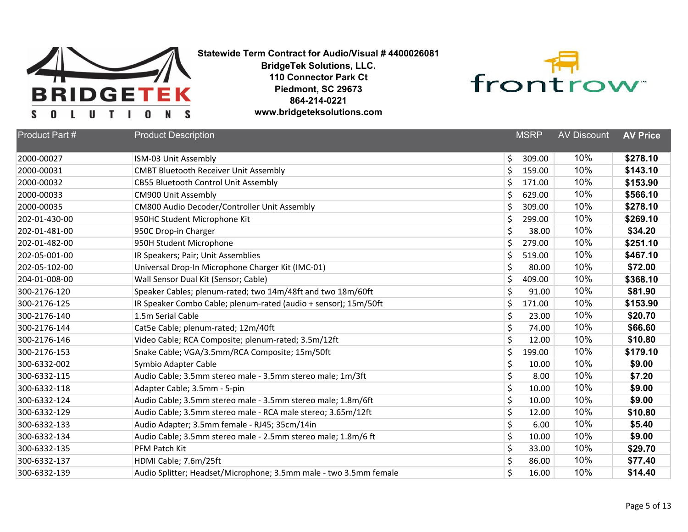



| <b>Product Part #</b> | <b>Product Description</b>                                        | <b>MSRP</b>  | <b>AV Discount</b> | <b>AV Price</b> |
|-----------------------|-------------------------------------------------------------------|--------------|--------------------|-----------------|
| 2000-00027            | ISM-03 Unit Assembly                                              | \$<br>309.00 | 10%                | \$278.10        |
| 2000-00031            | <b>CMBT Bluetooth Receiver Unit Assembly</b>                      | \$<br>159.00 | 10%                | \$143.10        |
| 2000-00032            | <b>CB55 Bluetooth Control Unit Assembly</b>                       | \$<br>171.00 | 10%                | \$153.90        |
| 2000-00033            | CM900 Unit Assembly                                               | \$<br>629.00 | 10%                | \$566.10        |
| 2000-00035            | CM800 Audio Decoder/Controller Unit Assembly                      | \$<br>309.00 | 10%                | \$278.10        |
| 202-01-430-00         | 950HC Student Microphone Kit                                      | \$<br>299.00 | 10%                | \$269.10        |
| 202-01-481-00         | 950C Drop-in Charger                                              | \$<br>38.00  | 10%                | \$34.20         |
| 202-01-482-00         | 950H Student Microphone                                           | \$<br>279.00 | 10%                | \$251.10        |
| 202-05-001-00         | IR Speakers; Pair; Unit Assemblies                                | \$<br>519.00 | 10%                | \$467.10        |
| 202-05-102-00         | Universal Drop-In Microphone Charger Kit (IMC-01)                 | \$<br>80.00  | 10%                | \$72.00         |
| 204-01-008-00         | Wall Sensor Dual Kit (Sensor; Cable)                              | \$<br>409.00 | 10%                | \$368.10        |
| 300-2176-120          | Speaker Cables; plenum-rated; two 14m/48ft and two 18m/60ft       | \$<br>91.00  | 10%                | \$81.90         |
| 300-2176-125          | IR Speaker Combo Cable; plenum-rated (audio + sensor); 15m/50ft   | \$<br>171.00 | 10%                | \$153.90        |
| 300-2176-140          | 1.5m Serial Cable                                                 | \$<br>23.00  | 10%                | \$20.70         |
| 300-2176-144          | Cat5e Cable; plenum-rated; 12m/40ft                               | \$<br>74.00  | 10%                | \$66.60         |
| 300-2176-146          | Video Cable; RCA Composite; plenum-rated; 3.5m/12ft               | \$<br>12.00  | 10%                | \$10.80         |
| 300-2176-153          | Snake Cable; VGA/3.5mm/RCA Composite; 15m/50ft                    | \$<br>199.00 | 10%                | \$179.10        |
| 300-6332-002          | Symbio Adapter Cable                                              | \$<br>10.00  | 10%                | \$9.00          |
| 300-6332-115          | Audio Cable; 3.5mm stereo male - 3.5mm stereo male; 1m/3ft        | \$<br>8.00   | 10%                | \$7.20          |
| 300-6332-118          | Adapter Cable; 3.5mm - 5-pin                                      | \$<br>10.00  | 10%                | \$9.00          |
| 300-6332-124          | Audio Cable; 3.5mm stereo male - 3.5mm stereo male; 1.8m/6ft      | \$<br>10.00  | 10%                | \$9.00          |
| 300-6332-129          | Audio Cable; 3.5mm stereo male - RCA male stereo; 3.65m/12ft      | \$<br>12.00  | 10%                | \$10.80         |
| 300-6332-133          | Audio Adapter; 3.5mm female - RJ45; 35cm/14in                     | \$<br>6.00   | 10%                | \$5.40          |
| 300-6332-134          | Audio Cable; 3.5mm stereo male - 2.5mm stereo male; 1.8m/6 ft     | \$<br>10.00  | 10%                | \$9.00          |
| 300-6332-135          | PFM Patch Kit                                                     | \$<br>33.00  | 10%                | \$29.70         |
| 300-6332-137          | HDMI Cable; 7.6m/25ft                                             | \$<br>86.00  | 10%                | \$77.40         |
| 300-6332-139          | Audio Splitter; Headset/Microphone; 3.5mm male - two 3.5mm female | \$<br>16.00  | 10%                | \$14.40         |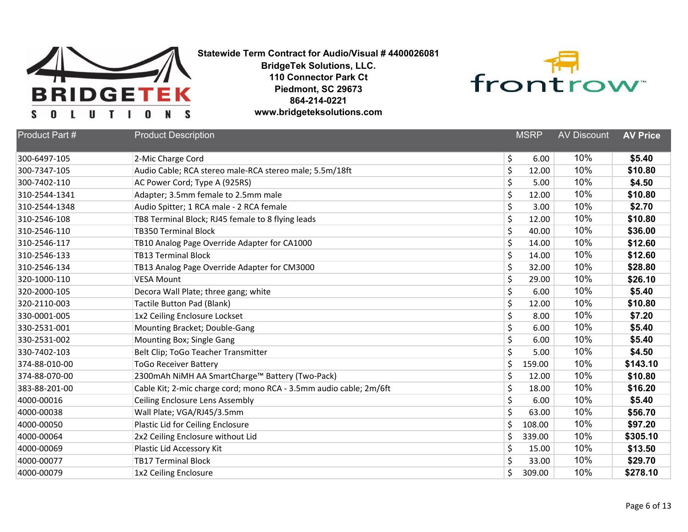



| Product Part # | <b>Product Description</b>                                         |    | <b>MSRP</b> | <b>AV Discount</b> | <b>AV Price</b> |
|----------------|--------------------------------------------------------------------|----|-------------|--------------------|-----------------|
| 300-6497-105   | 2-Mic Charge Cord                                                  | \$ | 6.00        | 10%                | \$5.40          |
| 300-7347-105   | Audio Cable; RCA stereo male-RCA stereo male; 5.5m/18ft            | \$ | 12.00       | 10%                | \$10.80         |
| 300-7402-110   | AC Power Cord; Type A (925RS)                                      | \$ | 5.00        | 10%                | \$4.50          |
| 310-2544-1341  | Adapter; 3.5mm female to 2.5mm male                                | \$ | 12.00       | 10%                | \$10.80         |
| 310-2544-1348  | Audio Spitter; 1 RCA male - 2 RCA female                           | \$ | 3.00        | 10%                | \$2.70          |
| 310-2546-108   | TB8 Terminal Block; RJ45 female to 8 flying leads                  | \$ | 12.00       | 10%                | \$10.80         |
| 310-2546-110   | <b>TB350 Terminal Block</b>                                        | \$ | 40.00       | 10%                | \$36.00         |
| 310-2546-117   | TB10 Analog Page Override Adapter for CA1000                       | \$ | 14.00       | 10%                | \$12.60         |
| 310-2546-133   | <b>TB13 Terminal Block</b>                                         | \$ | 14.00       | 10%                | \$12.60         |
| 310-2546-134   | TB13 Analog Page Override Adapter for CM3000                       | \$ | 32.00       | 10%                | \$28.80         |
| 320-1000-110   | <b>VESA Mount</b>                                                  | \$ | 29.00       | 10%                | \$26.10         |
| 320-2000-105   | Decora Wall Plate; three gang; white                               | \$ | 6.00        | 10%                | \$5.40          |
| 320-2110-003   | <b>Tactile Button Pad (Blank)</b>                                  | \$ | 12.00       | 10%                | \$10.80         |
| 330-0001-005   | 1x2 Ceiling Enclosure Lockset                                      | \$ | 8.00        | 10%                | \$7.20          |
| 330-2531-001   | Mounting Bracket; Double-Gang                                      | \$ | 6.00        | 10%                | \$5.40          |
| 330-2531-002   | Mounting Box; Single Gang                                          | \$ | 6.00        | 10%                | \$5.40          |
| 330-7402-103   | Belt Clip; ToGo Teacher Transmitter                                | \$ | 5.00        | 10%                | \$4.50          |
| 374-88-010-00  | <b>ToGo Receiver Battery</b>                                       | \$ | 159.00      | 10%                | \$143.10        |
| 374-88-070-00  | 2300mAh NiMH AA SmartCharge™ Battery (Two-Pack)                    | \$ | 12.00       | 10%                | \$10.80         |
| 383-88-201-00  | Cable Kit; 2-mic charge cord; mono RCA - 3.5mm audio cable; 2m/6ft | \$ | 18.00       | 10%                | \$16.20         |
| 4000-00016     | Ceiling Enclosure Lens Assembly                                    | \$ | 6.00        | 10%                | \$5.40          |
| 4000-00038     | Wall Plate; VGA/RJ45/3.5mm                                         | \$ | 63.00       | 10%                | \$56.70         |
| 4000-00050     | Plastic Lid for Ceiling Enclosure                                  | \$ | 108.00      | 10%                | \$97.20         |
| 4000-00064     | 2x2 Ceiling Enclosure without Lid                                  | \$ | 339.00      | 10%                | \$305.10        |
| 4000-00069     | Plastic Lid Accessory Kit                                          | \$ | 15.00       | 10%                | \$13.50         |
| 4000-00077     | <b>TB17 Terminal Block</b>                                         | \$ | 33.00       | 10%                | \$29.70         |
| 4000-00079     | 1x2 Ceiling Enclosure                                              | Ś  | 309.00      | 10%                | \$278.10        |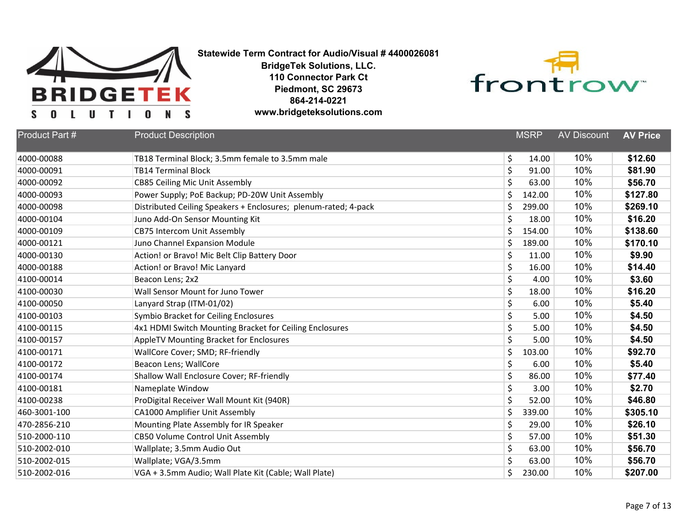



| <b>Product Part #</b> | <b>Product Description</b>                                      |         | <b>MSRP</b> | <b>AV Discount</b> | <b>AV Price</b> |
|-----------------------|-----------------------------------------------------------------|---------|-------------|--------------------|-----------------|
| 4000-00088            | TB18 Terminal Block; 3.5mm female to 3.5mm male                 | \$      | 14.00       | 10%                | \$12.60         |
| 4000-00091            | <b>TB14 Terminal Block</b>                                      | \$      | 91.00       | 10%                | \$81.90         |
| 4000-00092            | <b>CB85 Ceiling Mic Unit Assembly</b>                           | \$      | 63.00       | 10%                | \$56.70         |
| 4000-00093            | Power Supply; PoE Backup; PD-20W Unit Assembly                  | \$      | 142.00      | 10%                | \$127.80        |
| 4000-00098            | Distributed Ceiling Speakers + Enclosures; plenum-rated; 4-pack | \$      | 299.00      | 10%                | \$269.10        |
| 4000-00104            | Juno Add-On Sensor Mounting Kit                                 | \$      | 18.00       | 10%                | \$16.20         |
| 4000-00109            | <b>CB75 Intercom Unit Assembly</b>                              | \$      | 154.00      | 10%                | \$138.60        |
| 4000-00121            | Juno Channel Expansion Module                                   | \$      | 189.00      | 10%                | \$170.10        |
| 4000-00130            | Action! or Bravo! Mic Belt Clip Battery Door                    | \$      | 11.00       | 10%                | \$9.90          |
| 4000-00188            | Action! or Bravo! Mic Lanyard                                   | \$      | 16.00       | 10%                | \$14.40         |
| 4100-00014            | Beacon Lens; 2x2                                                | \$      | 4.00        | 10%                | \$3.60          |
| 4100-00030            | Wall Sensor Mount for Juno Tower                                | \$      | 18.00       | 10%                | \$16.20         |
| 4100-00050            | Lanyard Strap (ITM-01/02)                                       | \$      | 6.00        | 10%                | \$5.40          |
| 4100-00103            | <b>Symbio Bracket for Ceiling Enclosures</b>                    | \$      | 5.00        | 10%                | \$4.50          |
| 4100-00115            | 4x1 HDMI Switch Mounting Bracket for Ceiling Enclosures         | \$      | 5.00        | 10%                | \$4.50          |
| 4100-00157            | AppleTV Mounting Bracket for Enclosures                         | \$      | 5.00        | 10%                | \$4.50          |
| 4100-00171            | WallCore Cover; SMD; RF-friendly                                | \$      | 103.00      | 10%                | \$92.70         |
| 4100-00172            | Beacon Lens; WallCore                                           | \$      | 6.00        | 10%                | \$5.40          |
| 4100-00174            | Shallow Wall Enclosure Cover; RF-friendly                       | \$      | 86.00       | 10%                | \$77.40         |
| 4100-00181            | Nameplate Window                                                | \$      | 3.00        | 10%                | \$2.70          |
| 4100-00238            | ProDigital Receiver Wall Mount Kit (940R)                       | \$      | 52.00       | 10%                | \$46.80         |
| 460-3001-100          | CA1000 Amplifier Unit Assembly                                  | $\zeta$ | 339.00      | 10%                | \$305.10        |
| 470-2856-210          | Mounting Plate Assembly for IR Speaker                          | \$      | 29.00       | 10%                | \$26.10         |
| 510-2000-110          | <b>CB50 Volume Control Unit Assembly</b>                        | \$      | 57.00       | 10%                | \$51.30         |
| 510-2002-010          | Wallplate; 3.5mm Audio Out                                      | \$      | 63.00       | 10%                | \$56.70         |
| 510-2002-015          | Wallplate; VGA/3.5mm                                            | $\zeta$ | 63.00       | 10%                | \$56.70         |
| 510-2002-016          | VGA + 3.5mm Audio; Wall Plate Kit (Cable; Wall Plate)           | \$      | 230.00      | 10%                | \$207.00        |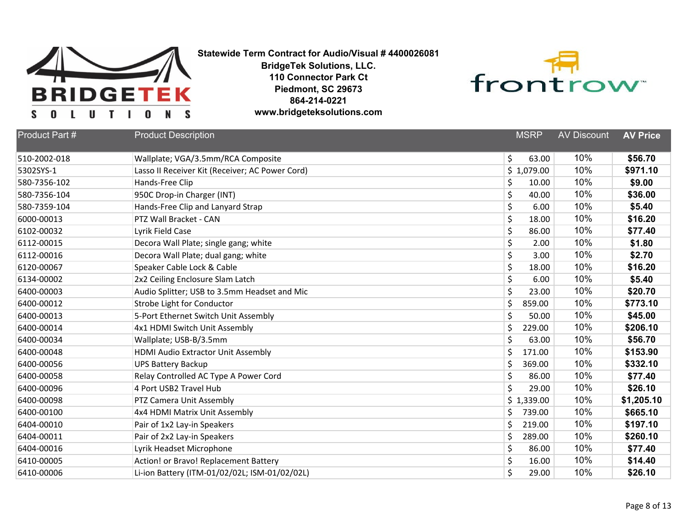



| <b>Product Part #</b> | <b>Product Description</b>                      | <b>MSRP</b>  | <b>AV Discount</b> | <b>AV Price</b> |
|-----------------------|-------------------------------------------------|--------------|--------------------|-----------------|
| 510-2002-018          | Wallplate; VGA/3.5mm/RCA Composite              | \$<br>63.00  | 10%                | \$56.70         |
| 5302SYS-1             | Lasso II Receiver Kit (Receiver; AC Power Cord) | \$1,079.00   | 10%                | \$971.10        |
| 580-7356-102          | Hands-Free Clip                                 | \$<br>10.00  | 10%                | \$9.00          |
| 580-7356-104          | 950C Drop-in Charger (INT)                      | \$<br>40.00  | 10%                | \$36.00         |
| 580-7359-104          | Hands-Free Clip and Lanyard Strap               | \$<br>6.00   | 10%                | \$5.40          |
| 6000-00013            | PTZ Wall Bracket - CAN                          | \$<br>18.00  | 10%                | \$16.20         |
| 6102-00032            | Lyrik Field Case                                | \$<br>86.00  | 10%                | \$77.40         |
| 6112-00015            | Decora Wall Plate; single gang; white           | \$<br>2.00   | 10%                | \$1.80          |
| 6112-00016            | Decora Wall Plate; dual gang; white             | \$<br>3.00   | 10%                | \$2.70          |
| 6120-00067            | Speaker Cable Lock & Cable                      | \$<br>18.00  | 10%                | \$16.20         |
| 6134-00002            | 2x2 Ceiling Enclosure Slam Latch                | \$<br>6.00   | 10%                | \$5.40          |
| 6400-00003            | Audio Splitter; USB to 3.5mm Headset and Mic    | \$<br>23.00  | 10%                | \$20.70         |
| 6400-00012            | Strobe Light for Conductor                      | \$<br>859.00 | 10%                | \$773.10        |
| 6400-00013            | 5-Port Ethernet Switch Unit Assembly            | \$<br>50.00  | 10%                | \$45.00         |
| 6400-00014            | 4x1 HDMI Switch Unit Assembly                   | \$<br>229.00 | 10%                | \$206.10        |
| 6400-00034            | Wallplate; USB-B/3.5mm                          | \$<br>63.00  | 10%                | \$56.70         |
| 6400-00048            | HDMI Audio Extractor Unit Assembly              | \$<br>171.00 | 10%                | \$153.90        |
| 6400-00056            | <b>UPS Battery Backup</b>                       | \$<br>369.00 | 10%                | \$332.10        |
| 6400-00058            | Relay Controlled AC Type A Power Cord           | \$<br>86.00  | 10%                | \$77.40         |
| 6400-00096            | 4 Port USB2 Travel Hub                          | \$<br>29.00  | 10%                | \$26.10         |
| 6400-00098            | PTZ Camera Unit Assembly                        | \$1,339.00   | 10%                | \$1,205.10      |
| 6400-00100            | 4x4 HDMI Matrix Unit Assembly                   | \$<br>739.00 | 10%                | \$665.10        |
| 6404-00010            | Pair of 1x2 Lay-in Speakers                     | \$<br>219.00 | 10%                | \$197.10        |
| 6404-00011            | Pair of 2x2 Lay-in Speakers                     | \$<br>289.00 | 10%                | \$260.10        |
| 6404-00016            | Lyrik Headset Microphone                        | \$<br>86.00  | 10%                | \$77.40         |
| 6410-00005            | Action! or Bravo! Replacement Battery           | \$<br>16.00  | 10%                | \$14.40         |
| 6410-00006            | Li-ion Battery (ITM-01/02/02L; ISM-01/02/02L)   | Ś<br>29.00   | 10%                | \$26.10         |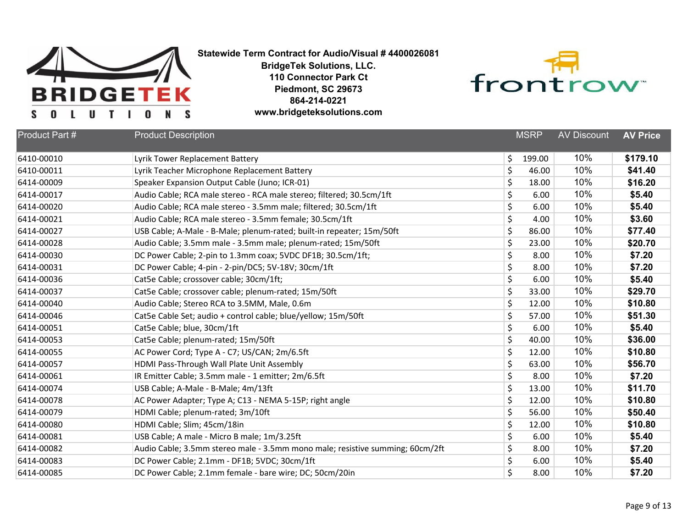



| Product Part # | <b>Product Description</b>                                                    |    | <b>MSRP</b> | <b>AV Discount</b> | <b>AV Price</b> |
|----------------|-------------------------------------------------------------------------------|----|-------------|--------------------|-----------------|
| 6410-00010     | Lyrik Tower Replacement Battery                                               | \$ | 199.00      | 10%                | \$179.10        |
| 6410-00011     | Lyrik Teacher Microphone Replacement Battery                                  | \$ | 46.00       | 10%                | \$41.40         |
| 6414-00009     | Speaker Expansion Output Cable (Juno; ICR-01)                                 | \$ | 18.00       | 10%                | \$16.20         |
| 6414-00017     | Audio Cable; RCA male stereo - RCA male stereo; filtered; 30.5cm/1ft          | \$ | 6.00        | 10%                | \$5.40          |
| 6414-00020     | Audio Cable; RCA male stereo - 3.5mm male; filtered; 30.5cm/1ft               | \$ | 6.00        | 10%                | \$5.40          |
| 6414-00021     | Audio Cable; RCA male stereo - 3.5mm female; 30.5cm/1ft                       | \$ | 4.00        | 10%                | \$3.60          |
| 6414-00027     | USB Cable; A-Male - B-Male; plenum-rated; built-in repeater; 15m/50ft         | \$ | 86.00       | 10%                | \$77.40         |
| 6414-00028     | Audio Cable; 3.5mm male - 3.5mm male; plenum-rated; 15m/50ft                  | \$ | 23.00       | 10%                | \$20.70         |
| 6414-00030     | DC Power Cable; 2-pin to 1.3mm coax; 5VDC DF1B; 30.5cm/1ft;                   | \$ | 8.00        | 10%                | \$7.20          |
| 6414-00031     | DC Power Cable; 4-pin - 2-pin/DC5; 5V-18V; 30cm/1ft                           | \$ | 8.00        | 10%                | \$7.20          |
| 6414-00036     | Cat5e Cable; crossover cable; 30cm/1ft;                                       | \$ | 6.00        | 10%                | \$5.40          |
| 6414-00037     | Cat5e Cable; crossover cable; plenum-rated; 15m/50ft                          | \$ | 33.00       | 10%                | \$29.70         |
| 6414-00040     | Audio Cable; Stereo RCA to 3.5MM, Male, 0.6m                                  | \$ | 12.00       | 10%                | \$10.80         |
| 6414-00046     | Cat5e Cable Set; audio + control cable; blue/yellow; 15m/50ft                 | \$ | 57.00       | 10%                | \$51.30         |
| 6414-00051     | Cat5e Cable; blue, 30cm/1ft                                                   | \$ | 6.00        | 10%                | \$5.40          |
| 6414-00053     | Cat5e Cable; plenum-rated; 15m/50ft                                           | \$ | 40.00       | 10%                | \$36.00         |
| 6414-00055     | AC Power Cord; Type A - C7; US/CAN; 2m/6.5ft                                  | \$ | 12.00       | 10%                | \$10.80         |
| 6414-00057     | HDMI Pass-Through Wall Plate Unit Assembly                                    | \$ | 63.00       | 10%                | \$56.70         |
| 6414-00061     | IR Emitter Cable; 3.5mm male - 1 emitter; 2m/6.5ft                            | \$ | 8.00        | 10%                | \$7.20          |
| 6414-00074     | USB Cable; A-Male - B-Male; 4m/13ft                                           | \$ | 13.00       | 10%                | \$11.70         |
| 6414-00078     | AC Power Adapter; Type A; C13 - NEMA 5-15P; right angle                       | \$ | 12.00       | 10%                | \$10.80         |
| 6414-00079     | HDMI Cable; plenum-rated; 3m/10ft                                             | \$ | 56.00       | 10%                | \$50.40         |
| 6414-00080     | HDMI Cable; Slim; 45cm/18in                                                   | \$ | 12.00       | 10%                | \$10.80         |
| 6414-00081     | USB Cable; A male - Micro B male; 1m/3.25ft                                   | \$ | 6.00        | 10%                | \$5.40          |
| 6414-00082     | Audio Cable; 3.5mm stereo male - 3.5mm mono male; resistive summing; 60cm/2ft | \$ | 8.00        | 10%                | \$7.20          |
| 6414-00083     | DC Power Cable; 2.1mm - DF1B; 5VDC; 30cm/1ft                                  | \$ | 6.00        | 10%                | \$5.40          |
| 6414-00085     | DC Power Cable; 2.1mm female - bare wire; DC; 50cm/20in                       | Ś  | 8.00        | 10%                | \$7.20          |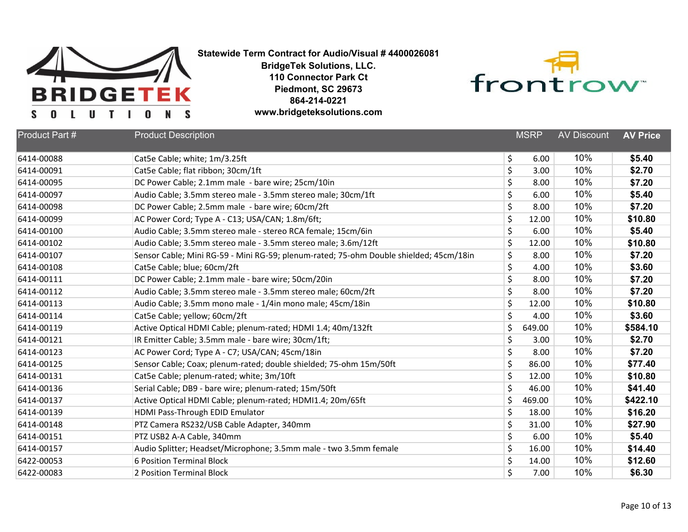



| <b>Product Part #</b> | <b>Product Description</b>                                                             | <b>MSRP</b>  | <b>AV Discount</b> | <b>AV Price</b> |
|-----------------------|----------------------------------------------------------------------------------------|--------------|--------------------|-----------------|
| 6414-00088            | Cat5e Cable; white; 1m/3.25ft                                                          | \$<br>6.00   | 10%                | \$5.40          |
| 6414-00091            | Cat5e Cable; flat ribbon; 30cm/1ft                                                     | \$<br>3.00   | 10%                | \$2.70          |
| 6414-00095            | DC Power Cable; 2.1mm male - bare wire; 25cm/10in                                      | \$<br>8.00   | 10%                | \$7.20          |
| 6414-00097            | Audio Cable; 3.5mm stereo male - 3.5mm stereo male; 30cm/1ft                           | \$<br>6.00   | 10%                | \$5.40          |
| 6414-00098            | DC Power Cable; 2.5mm male - bare wire; 60cm/2ft                                       | \$<br>8.00   | 10%                | \$7.20          |
| 6414-00099            | AC Power Cord; Type A - C13; USA/CAN; 1.8m/6ft;                                        | \$<br>12.00  | 10%                | \$10.80         |
| 6414-00100            | Audio Cable; 3.5mm stereo male - stereo RCA female; 15cm/6in                           | \$<br>6.00   | 10%                | \$5.40          |
| 6414-00102            | Audio Cable; 3.5mm stereo male - 3.5mm stereo male; 3.6m/12ft                          | \$<br>12.00  | 10%                | \$10.80         |
| 6414-00107            | Sensor Cable; Mini RG-59 - Mini RG-59; plenum-rated; 75-ohm Double shielded; 45cm/18in | \$<br>8.00   | 10%                | \$7.20          |
| 6414-00108            | Cat5e Cable; blue; 60cm/2ft                                                            | \$<br>4.00   | 10%                | \$3.60          |
| 6414-00111            | DC Power Cable; 2.1mm male - bare wire; 50cm/20in                                      | \$<br>8.00   | 10%                | \$7.20          |
| 6414-00112            | Audio Cable; 3.5mm stereo male - 3.5mm stereo male; 60cm/2ft                           | \$<br>8.00   | 10%                | \$7.20          |
| 6414-00113            | Audio Cable; 3.5mm mono male - 1/4in mono male; 45cm/18in                              | \$<br>12.00  | 10%                | \$10.80         |
| 6414-00114            | Cat5e Cable; yellow; 60cm/2ft                                                          | \$<br>4.00   | 10%                | \$3.60          |
| 6414-00119            | Active Optical HDMI Cable; plenum-rated; HDMI 1.4; 40m/132ft                           | \$<br>649.00 | 10%                | \$584.10        |
| 6414-00121            | IR Emitter Cable; 3.5mm male - bare wire; 30cm/1ft;                                    | \$<br>3.00   | 10%                | \$2.70          |
| 6414-00123            | AC Power Cord; Type A - C7; USA/CAN; 45cm/18in                                         | \$<br>8.00   | 10%                | \$7.20          |
| 6414-00125            | Sensor Cable; Coax; plenum-rated; double shielded; 75-ohm 15m/50ft                     | \$<br>86.00  | 10%                | \$77.40         |
| 6414-00131            | Cat5e Cable; plenum-rated; white; 3m/10ft                                              | \$<br>12.00  | 10%                | \$10.80         |
| 6414-00136            | Serial Cable; DB9 - bare wire; plenum-rated; 15m/50ft                                  | \$<br>46.00  | 10%                | \$41.40         |
| 6414-00137            | Active Optical HDMI Cable; plenum-rated; HDMI1.4; 20m/65ft                             | \$<br>469.00 | 10%                | \$422.10        |
| 6414-00139            | HDMI Pass-Through EDID Emulator                                                        | \$<br>18.00  | 10%                | \$16.20         |
| 6414-00148            | PTZ Camera RS232/USB Cable Adapter, 340mm                                              | \$<br>31.00  | 10%                | \$27.90         |
| 6414-00151            | PTZ USB2 A-A Cable, 340mm                                                              | \$<br>6.00   | 10%                | \$5.40          |
| 6414-00157            | Audio Splitter; Headset/Microphone; 3.5mm male - two 3.5mm female                      | \$<br>16.00  | 10%                | \$14.40         |
| 6422-00053            | <b>6 Position Terminal Block</b>                                                       | \$<br>14.00  | 10%                | \$12.60         |
| 6422-00083            | 2 Position Terminal Block                                                              | \$<br>7.00   | 10%                | \$6.30          |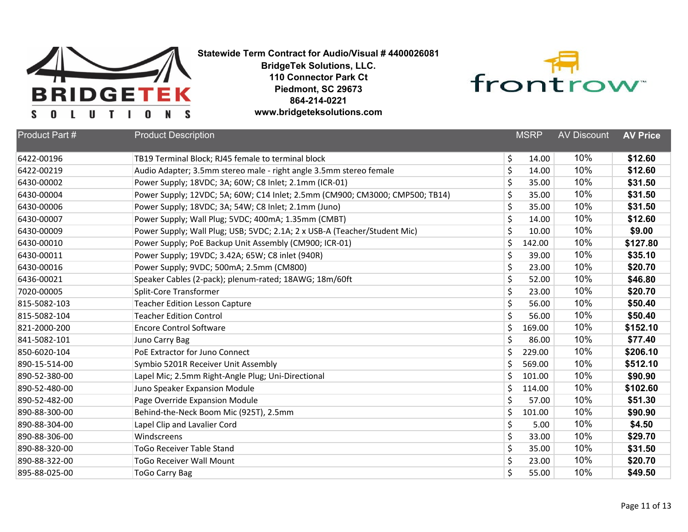



| Product Part # | <b>Product Description</b>                                                   |    | <b>MSRP</b> | <b>AV Discount</b> | <b>AV Price</b> |
|----------------|------------------------------------------------------------------------------|----|-------------|--------------------|-----------------|
| 6422-00196     | TB19 Terminal Block; RJ45 female to terminal block                           | \$ | 14.00       | 10%                | \$12.60         |
| 6422-00219     | Audio Adapter; 3.5mm stereo male - right angle 3.5mm stereo female           | \$ | 14.00       | 10%                | \$12.60         |
| 6430-00002     | Power Supply; 18VDC; 3A; 60W; C8 Inlet; 2.1mm (ICR-01)                       | \$ | 35.00       | 10%                | \$31.50         |
| 6430-00004     | Power Supply; 12VDC; 5A; 60W; C14 Inlet; 2.5mm (CM900; CM3000; CMP500; TB14) | \$ | 35.00       | 10%                | \$31.50         |
| 6430-00006     | Power Supply; 18VDC; 3A; 54W; C8 Inlet; 2.1mm (Juno)                         | \$ | 35.00       | 10%                | \$31.50         |
| 6430-00007     | Power Supply; Wall Plug; 5VDC; 400mA; 1.35mm (CMBT)                          | \$ | 14.00       | 10%                | \$12.60         |
| 6430-00009     | Power Supply; Wall Plug; USB; 5VDC; 2.1A; 2 x USB-A (Teacher/Student Mic)    | \$ | 10.00       | 10%                | \$9.00          |
| 6430-00010     | Power Supply; PoE Backup Unit Assembly (CM900; ICR-01)                       | \$ | 142.00      | 10%                | \$127.80        |
| 6430-00011     | Power Supply; 19VDC; 3.42A; 65W; C8 inlet (940R)                             | \$ | 39.00       | 10%                | \$35.10         |
| 6430-00016     | Power Supply; 9VDC; 500mA; 2.5mm (CM800)                                     | \$ | 23.00       | 10%                | \$20.70         |
| 6436-00021     | Speaker Cables (2-pack); plenum-rated; 18AWG; 18m/60ft                       | \$ | 52.00       | 10%                | \$46.80         |
| 7020-00005     | <b>Split-Core Transformer</b>                                                | \$ | 23.00       | 10%                | \$20.70         |
| 815-5082-103   | <b>Teacher Edition Lesson Capture</b>                                        | \$ | 56.00       | 10%                | \$50.40         |
| 815-5082-104   | <b>Teacher Edition Control</b>                                               | \$ | 56.00       | 10%                | \$50.40         |
| 821-2000-200   | <b>Encore Control Software</b>                                               | \$ | 169.00      | 10%                | \$152.10        |
| 841-5082-101   | Juno Carry Bag                                                               | \$ | 86.00       | 10%                | \$77.40         |
| 850-6020-104   | PoE Extractor for Juno Connect                                               | \$ | 229.00      | 10%                | \$206.10        |
| 890-15-514-00  | Symbio 5201R Receiver Unit Assembly                                          | \$ | 569.00      | 10%                | \$512.10        |
| 890-52-380-00  | Lapel Mic; 2.5mm Right-Angle Plug; Uni-Directional                           | Ś. | 101.00      | 10%                | \$90.90         |
| 890-52-480-00  | Juno Speaker Expansion Module                                                | \$ | 114.00      | 10%                | \$102.60        |
| 890-52-482-00  | Page Override Expansion Module                                               | \$ | 57.00       | 10%                | \$51.30         |
| 890-88-300-00  | Behind-the-Neck Boom Mic (925T), 2.5mm                                       | \$ | 101.00      | 10%                | \$90.90         |
| 890-88-304-00  | Lapel Clip and Lavalier Cord                                                 | \$ | 5.00        | 10%                | \$4.50          |
| 890-88-306-00  | Windscreens                                                                  | \$ | 33.00       | 10%                | \$29.70         |
| 890-88-320-00  | <b>ToGo Receiver Table Stand</b>                                             | \$ | 35.00       | 10%                | \$31.50         |
| 890-88-322-00  | <b>ToGo Receiver Wall Mount</b>                                              | \$ | 23.00       | 10%                | \$20.70         |
| 895-88-025-00  | <b>ToGo Carry Bag</b>                                                        | \$ | 55.00       | 10%                | \$49.50         |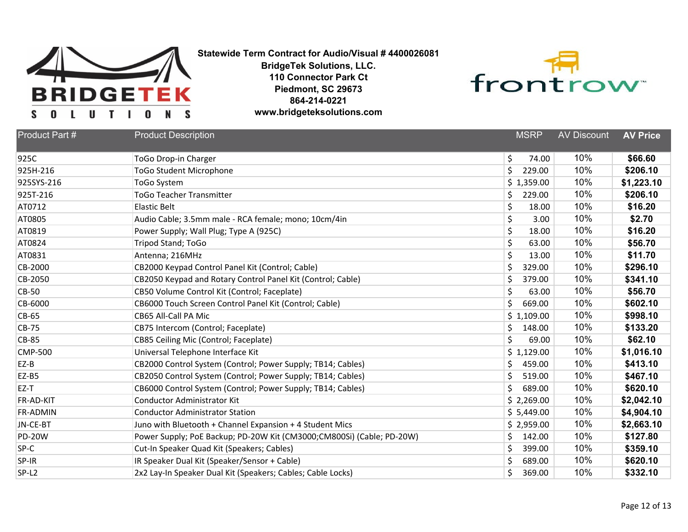



| Product Part #    | <b>Product Description</b>                                            | <b>MSRP</b>  | <b>AV Discount</b> | <b>AV Price</b> |
|-------------------|-----------------------------------------------------------------------|--------------|--------------------|-----------------|
| 925C              | <b>ToGo Drop-in Charger</b>                                           | \$<br>74.00  | 10%                | \$66.60         |
| 925H-216          | <b>ToGo Student Microphone</b>                                        | \$<br>229.00 | 10%                | \$206.10        |
| 925SYS-216        | <b>ToGo System</b>                                                    | \$1,359.00   | 10%                | \$1,223.10      |
| 925T-216          | <b>ToGo Teacher Transmitter</b>                                       | \$<br>229.00 | 10%                | \$206.10        |
| AT0712            | Elastic Belt                                                          | \$<br>18.00  | 10%                | \$16.20         |
| AT0805            | Audio Cable; 3.5mm male - RCA female; mono; 10cm/4in                  | \$<br>3.00   | 10%                | \$2.70          |
| AT0819            | Power Supply; Wall Plug; Type A (925C)                                | \$<br>18.00  | 10%                | \$16.20         |
| AT0824            | Tripod Stand; ToGo                                                    | \$<br>63.00  | 10%                | \$56.70         |
| AT0831            | Antenna; 216MHz                                                       | \$<br>13.00  | 10%                | \$11.70         |
| CB-2000           | CB2000 Keypad Control Panel Kit (Control; Cable)                      | \$<br>329.00 | 10%                | \$296.10        |
| CB-2050           | CB2050 Keypad and Rotary Control Panel Kit (Control; Cable)           | \$<br>379.00 | 10%                | \$341.10        |
| <b>CB-50</b>      | CB50 Volume Control Kit (Control; Faceplate)                          | \$<br>63.00  | 10%                | \$56.70         |
| CB-6000           | CB6000 Touch Screen Control Panel Kit (Control; Cable)                | \$<br>669.00 | 10%                | \$602.10        |
| CB-65             | CB65 All-Call PA Mic                                                  | \$1,109.00   | 10%                | \$998.10        |
| CB-75             | CB75 Intercom (Control; Faceplate)                                    | \$<br>148.00 | 10%                | \$133.20        |
| <b>CB-85</b>      | CB85 Ceiling Mic (Control; Faceplate)                                 | \$<br>69.00  | 10%                | \$62.10         |
| <b>CMP-500</b>    | Universal Telephone Interface Kit                                     | \$1,129.00   | 10%                | \$1,016.10      |
| $EZ-B$            | CB2000 Control System (Control; Power Supply; TB14; Cables)           | \$<br>459.00 | 10%                | \$413.10        |
| EZ-B5             | CB2050 Control System (Control; Power Supply; TB14; Cables)           | \$<br>519.00 | 10%                | \$467.10        |
| EZ-T              | CB6000 Control System (Control; Power Supply; TB14; Cables)           | \$<br>689.00 | 10%                | \$620.10        |
| FR-AD-KIT         | <b>Conductor Administrator Kit</b>                                    | \$2,269.00   | 10%                | \$2,042.10      |
| FR-ADMIN          | <b>Conductor Administrator Station</b>                                | \$5,449.00   | 10%                | \$4,904.10      |
| JN-CE-BT          | Juno with Bluetooth + Channel Expansion + 4 Student Mics              | \$2,959.00   | 10%                | \$2,663.10      |
| <b>PD-20W</b>     | Power Supply; PoE Backup; PD-20W Kit (CM3000;CM800Si) (Cable; PD-20W) | \$<br>142.00 | 10%                | \$127.80        |
| SP-C              | Cut-In Speaker Quad Kit (Speakers; Cables)                            | \$<br>399.00 | 10%                | \$359.10        |
| SP-IR             | IR Speaker Dual Kit (Speaker/Sensor + Cable)                          | \$<br>689.00 | 10%                | \$620.10        |
| SP-L <sub>2</sub> | 2x2 Lay-In Speaker Dual Kit (Speakers; Cables; Cable Locks)           | \$<br>369.00 | 10%                | \$332.10        |